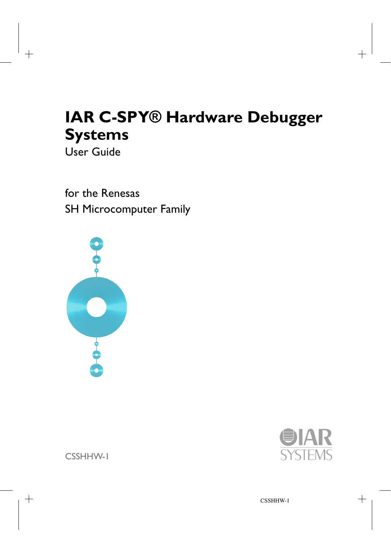# **IAR C-SPY® Hardware Debugger Systems**

User Guide

for the Renesas SH Microcomputer Family





CSSHHW-1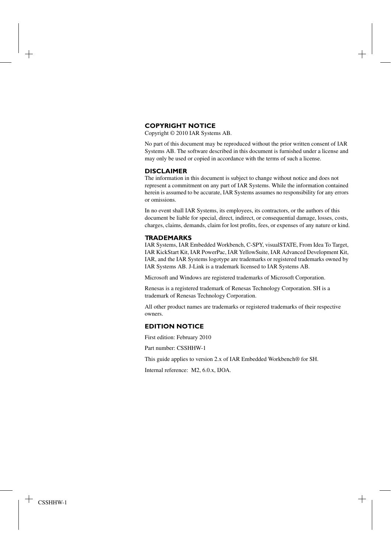## **COPYRIGHT NOTICE**

Copyright © 2010 IAR Systems AB.

No part of this document may be reproduced without the prior written consent of IAR Systems AB. The software described in this document is furnished under a license and may only be used or copied in accordance with the terms of such a license.

#### **DISCLAIMER**

The information in this document is subject to change without notice and does not represent a commitment on any part of IAR Systems. While the information contained herein is assumed to be accurate, IAR Systems assumes no responsibility for any errors or omissions.

In no event shall IAR Systems, its employees, its contractors, or the authors of this document be liable for special, direct, indirect, or consequential damage, losses, costs, charges, claims, demands, claim for lost profits, fees, or expenses of any nature or kind.

#### **TRADEMARKS**

IAR Systems, IAR Embedded Workbench, C-SPY, visualSTATE, From Idea To Target, IAR KickStart Kit, IAR PowerPac, IAR YellowSuite, IAR Advanced Development Kit, IAR, and the IAR Systems logotype are trademarks or registered trademarks owned by IAR Systems AB. J-Link is a trademark licensed to IAR Systems AB.

Microsoft and Windows are registered trademarks of Microsoft Corporation.

Renesas is a registered trademark of Renesas Technology Corporation. SH is a trademark of Renesas Technology Corporation.

All other product names are trademarks or registered trademarks of their respective owners.

### **EDITION NOTICE**

First edition: February 2010

Part number: CSSHHW-1

This guide applies to version 2.x of IAR Embedded Workbench® for SH.

Internal reference: M2, 6.0.x, IJOA.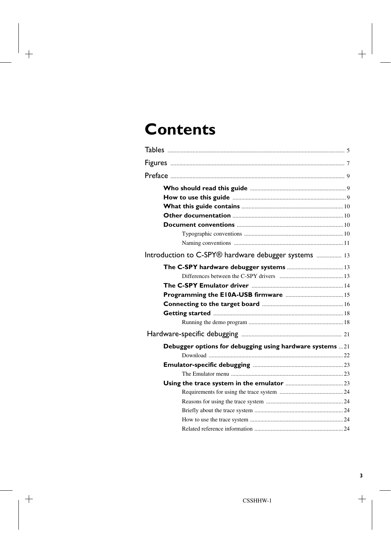# **Contents**

| Introduction to C-SPY® hardware debugger systems  13      |  |
|-----------------------------------------------------------|--|
|                                                           |  |
|                                                           |  |
|                                                           |  |
|                                                           |  |
|                                                           |  |
|                                                           |  |
|                                                           |  |
|                                                           |  |
| Debugger options for debugging using hardware systems  21 |  |
|                                                           |  |
|                                                           |  |
|                                                           |  |
|                                                           |  |
|                                                           |  |
|                                                           |  |
|                                                           |  |
|                                                           |  |
|                                                           |  |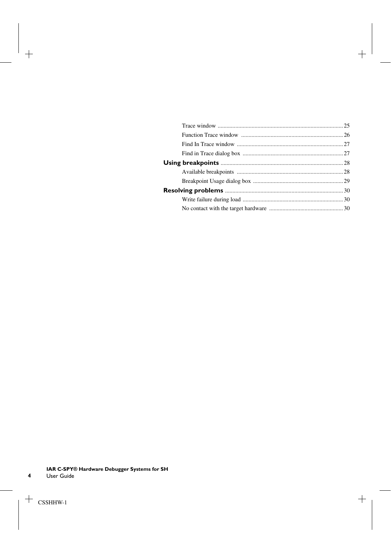$\overline{\mathbf{4}}$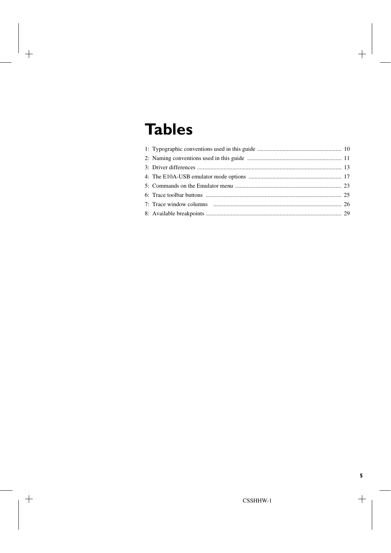# <span id="page-4-0"></span>**Tables**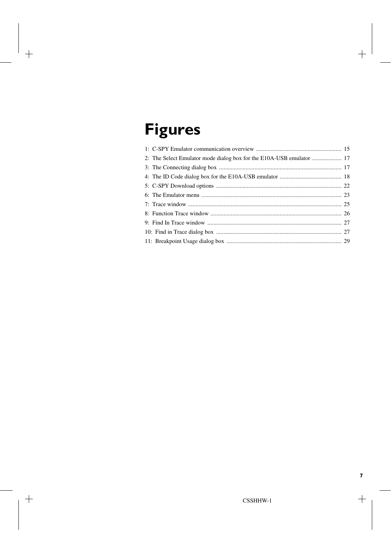# <span id="page-6-0"></span>**Figures**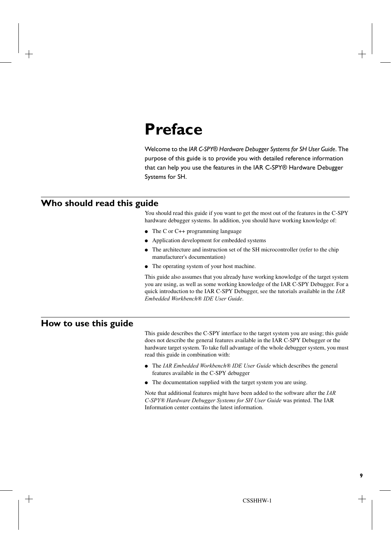# <span id="page-8-0"></span>**Preface**

Welcome to the *IAR C-SPY® Hardware Debugger Systems for SH User Guide*. The purpose of this guide is to provide you with detailed reference information that can help you use the features in the IAR C-SPY® Hardware Debugger Systems for SH.

## <span id="page-8-1"></span>**Who should read this guide**

You should read this guide if you want to get the most out of the features in the C-SPY hardware debugger systems. In addition, you should have working knowledge of:

- $\bullet$  The C or C++ programming language
- Application development for embedded systems
- The architecture and instruction set of the SH microcontroller (refer to the chip manufacturer's documentation)
- The operating system of your host machine.

This guide also assumes that you already have working knowledge of the target system you are using, as well as some working knowledge of the IAR C-SPY Debugger. For a quick introduction to the IAR C-SPY Debugger, see the tutorials available in the *IAR Embedded Workbench® IDE User Guide*.

## <span id="page-8-2"></span>**How to use this guide**

This guide describes the C-SPY interface to the target system you are using; this guide does not describe the general features available in the IAR C-SPY Debugger or the hardware target system. To take full advantage of the whole debugger system, you must read this guide in combination with:

- The *IAR Embedded Workbench® IDE User Guide* which describes the general features available in the C-SPY debugger
- The documentation supplied with the target system you are using.

Note that additional features might have been added to the software after the *IAR C-SPY® Hardware Debugger Systems for SH User Guide* was printed. The IAR Information center contains the latest information.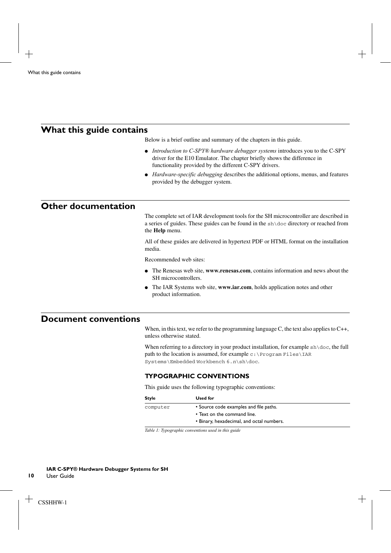## <span id="page-9-0"></span>**What this guide contains**

Below is a brief outline and summary of the chapters in this guide.

- *[Introduction to C-SPY® hardware debugger systems](#page-12-4)* introduces you to the C-SPY driver for the E10 Emulator. The chapter briefly shows the difference in functionality provided by the different C-SPY drivers.
- *[Hardware-specific debugging](#page-20-2)* describes the additional options, menus, and features provided by the debugger system.

## <span id="page-9-1"></span>**Other documentation**

The complete set of IAR development tools for the SH microcontroller are described in a series of guides. These guides can be found in the sh\doc directory or reached from the **Help** menu.

All of these guides are delivered in hypertext PDF or HTML format on the installation media.

Recommended web sites:

- The Renesas web site, **www.renesas.com**, contains information and news about the SH microcontrollers.
- The IAR Systems web site, **www.iar.com**, holds application notes and other product information.

## <span id="page-9-2"></span>**Document conventions**

When, in this text, we refer to the programming language C, the text also applies to C++, unless otherwise stated.

When referring to a directory in your product installation, for example sh\doc, the full path to the location is assumed, for example  $c:\Per\gamma$  Files\IAR Systems\Embedded Workbench 6.*n*\sh\doc.

## <span id="page-9-3"></span>**TYPOGRAPHIC CONVENTIONS**

This guide uses the following typographic conventions:

| Style    | Used for                                  |  |
|----------|-------------------------------------------|--|
| computer | • Source code examples and file paths.    |  |
|          | • Text on the command line.               |  |
|          | • Binary, hexadecimal, and octal numbers. |  |

<span id="page-9-4"></span>*Table 1: Typographic conventions used in this guide*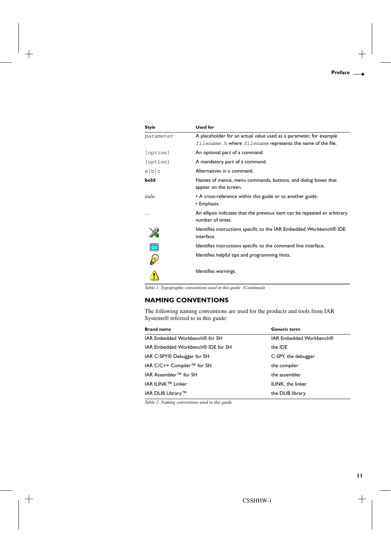| <b>Style</b> | <b>Used for</b>                                                                                                                   |
|--------------|-----------------------------------------------------------------------------------------------------------------------------------|
| parameter    | A placeholder for an actual value used as a parameter, for example<br>filename. h where filename represents the name of the file. |
| [option]     | An optional part of a command.                                                                                                    |
| {option}     | A mandatory part of a command.                                                                                                    |
| a b c        | Alternatives in a command.                                                                                                        |
| bold         | Names of menus, menu commands, buttons, and dialog boxes that<br>appear on the screen.                                            |
| italic       | • A cross-reference within this guide or to another guide.<br>• Emphasis.                                                         |
|              | An ellipsis indicates that the previous item can be repeated an arbitrary<br>number of times.                                     |
|              | Identifies instructions specific to the IAR Embedded Workbench® IDE<br>interface.                                                 |
| $\sum$       | Identifies instructions specific to the command line interface.                                                                   |
|              | Identifies helpful tips and programming hints.                                                                                    |
|              | Identifies warnings.                                                                                                              |

*Table 1: Typographic conventions used in this guide (Continued)*

## <span id="page-10-0"></span>**NAMING CONVENTIONS**

The following naming conventions are used for the products and tools from IAR Systems® referred to in this guide:

| <b>Brand name</b>                      | <b>Generic term</b>     |
|----------------------------------------|-------------------------|
| IAR Embedded Workbench® for SH         | IAR Embedded Workbench® |
| IAR Embedded Workbench® IDE for SH     | the IDE                 |
| IAR C-SPY <sup>®</sup> Debugger for SH | C-SPY, the debugger     |
| IAR C/C++ Compiler™ for SH             | the compiler            |
| IAR Assembler <sup>™</sup> for SH      | the assembler           |
| IAR ILINK™ Linker                      | ILINK, the linker       |
| IAR DLIB Library™                      | the DLIB library        |

<span id="page-10-1"></span>*Table 2: Naming conventions used in this guide*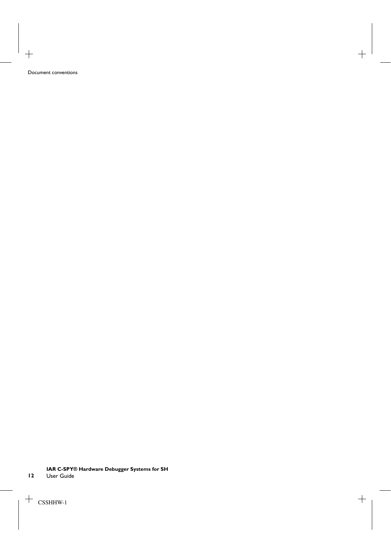Document conventions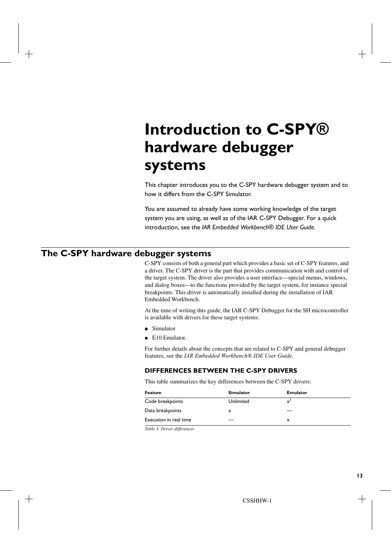# <span id="page-12-4"></span><span id="page-12-0"></span>**Introduction to C-SPY® hardware debugger systems**

This chapter introduces you to the C-SPY hardware debugger system and to how it differs from the C-SPY Simulator.

You are assumed to already have some working knowledge of the target system you are using, as well as of the IAR C-SPY Debugger. For a quick introduction, see the *IAR Embedded Workbench® IDE User Guide*.

## <span id="page-12-1"></span>**The C-SPY hardware debugger systems**

C-SPY consists of both a general part which provides a basic set of C-SPY features, and a driver. The C-SPY driver is the part that provides communication with and control of the target system. The driver also provides a user interface—special menus, windows, and dialog boxes—to the functions provided by the target system, for instance special breakpoints. This driver is automatically installed during the installation of IAR Embedded Workbench.

At the time of writing this guide, the IAR C-SPY Debugger for the SH microcontroller is available with drivers for these target systems:

- Simulator
- E10 Emulator.

For further details about the concepts that are related to C-SPY and general debugger features, see the *IAR Embedded Workbench® IDE User Guide*.

#### <span id="page-12-2"></span>**DIFFERENCES BETWEEN THE C-SPY DRIVERS**

This table summarizes the key differences between the C-SPY drivers:

| Feature                           | <b>Simulator</b> | <b>Emulator</b>           |  |
|-----------------------------------|------------------|---------------------------|--|
| Code breakpoints                  | Unlimited        | $\mathsf{x}$              |  |
| Data breakpoints                  | ×                |                           |  |
| Execution in real time            |                  | $\boldsymbol{\mathsf{x}}$ |  |
| the control of the control of the |                  |                           |  |

<span id="page-12-3"></span>*Table 3: Driver differences*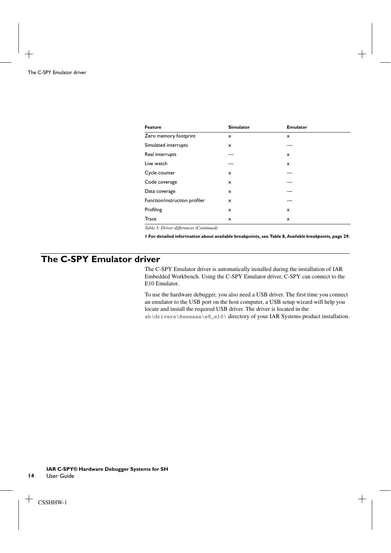| Feature                       | <b>Simulator</b> | <b>Emulator</b> |
|-------------------------------|------------------|-----------------|
| Zero memory footprint         | x                | x               |
| Simulated interrupts          | x                |                 |
| Real interrupts               |                  | x               |
| Live watch                    |                  | x               |
| Cycle counter                 | $\mathbf{x}$     |                 |
| Code coverage                 | x                |                 |
| Data coverage                 | x                |                 |
| Function/instruction profiler | $\mathbf{x}$     |                 |
| Profiling                     | x                | x               |
| <b>Trace</b>                  | x                | x               |

*Table 3: Driver differences (Continued)*

**1 For detailed information about available breakpoints, see Table 8,** *[Available breakpoints](#page-28-3)***, [page 29](#page-28-3).**

## <span id="page-13-0"></span>**The C-SPY Emulator driver**

The C-SPY Emulator driver is automatically installed during the installation of IAR Embedded Workbench. Using the C-SPY Emulator driver, C-SPY can connect to the E10 Emulator.

To use the hardware debugger, you also need a USB driver. The first time you connect an emulator to the USB port on the host computer, a USB setup wizard will help you locate and install the required USB driver. The driver is located in the sh*\*drivers\Renesas\e8\_e10\ directory of your IAR Systems product installation.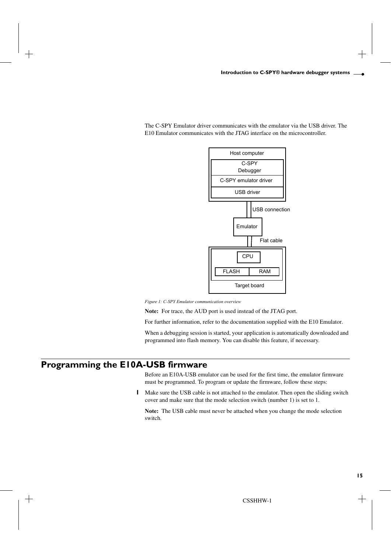

The C-SPY Emulator driver communicates with the emulator via the USB driver. The E10 Emulator communicates with the JTAG interface on the microcontroller.

<span id="page-14-1"></span>*Figure 1: C-SPY Emulator communication overview*

**Note:** For trace, the AUD port is used instead of the JTAG port.

For further information, refer to the documentation supplied with the E10 Emulator.

When a debugging session is started, your application is automatically downloaded and programmed into flash memory. You can disable this feature, if necessary.

## <span id="page-14-0"></span>**Programming the E10A-USB firmware**

Before an E10A-USB emulator can be used for the first time, the emulator firmware must be programmed. To program or update the firmware, follow these steps:

**1** Make sure the USB cable is not attached to the emulator. Then open the sliding switch cover and make sure that the mode selection switch (number 1) is set to 1.

**Note:** The USB cable must never be attached when you change the mode selection switch.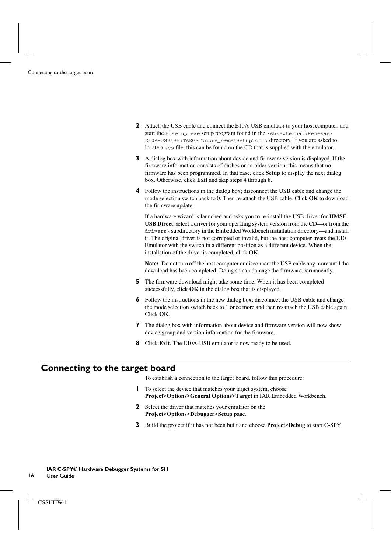- **2** Attach the USB cable and connect the E10A-USB emulator to your host computer, and start the E1setup.exe setup program found in the  $\sh\ext{ernal}\Reness\$ E10A-USB\SH\TARGET\*core\_name*\SetupTool\ directory. If you are asked to locate a sys file, this can be found on the CD that is supplied with the emulator.
- **3** A dialog box with information about device and firmware version is displayed. If the firmware information consists of dashes or an older version, this means that no firmware has been programmed. In that case, click **Setup** to display the next dialog box. Otherwise, click **Exit** and skip steps 4 through 8.
- **4** Follow the instructions in the dialog box; disconnect the USB cable and change the mode selection switch back to 0. Then re-attach the USB cable. Click **OK** to download the firmware update.

If a hardware wizard is launched and asks you to re-install the USB driver for **HMSE USB Direct**, select a driver for your operating system version from the CD—or from the drivers\ subdirectory in the Embedded Workbench installation directory—and install it. The original driver is not corrupted or invalid, but the host computer treats the E10 Emulator with the switch in a different position as a different device. When the installation of the driver is completed, click **OK**.

**Note:** Do not turn off the host computer or disconnect the USB cable any more until the download has been completed. Doing so can damage the firmware permanently.

- **5** The firmware download might take some time. When it has been completed successfully, click **OK** in the dialog box that is displayed.
- **6** Follow the instructions in the new dialog box; disconnect the USB cable and change the mode selection switch back to 1 once more and then re-attach the USB cable again. Click **OK**.
- **7** The dialog box with information about device and firmware version will now show device group and version information for the firmware.
- **8** Click **Exit**. The E10A-USB emulator is now ready to be used.

## <span id="page-15-0"></span>**Connecting to the target board**

To establish a connection to the target board, follow this procedure:

- **1** To select the device that matches your target system, choose **Project>Options>General Options>Target** in IAR Embedded Workbench.
- **2** Select the driver that matches your emulator on the **Project>Options>Debugger>Setup** page.
- **3** Build the project if it has not been built and choose **Project>Debug** to start C-SPY.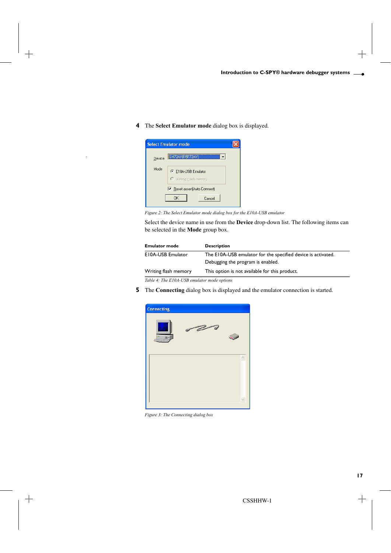**4** The **Select Emulator mode** dialog box is displayed.

|        | <b>Select Emulator mode</b>               |  |
|--------|-------------------------------------------|--|
| Device | ISH72AVIR5F72AVI                          |  |
| Mode   | E10A-USB Emulator<br>Writing Elash memory |  |
|        | Reset assert(Auto Connect)                |  |
|        | OK<br>Cancel                              |  |

<span id="page-16-1"></span>*Figure 2: The Select Emulator mode dialog box for the E10A-USB emulator*

Select the device name in use from the **Device** drop-down list. The following items can be selected in the **Mode** group box.

| <b>Emulator mode</b>                        | <b>Description</b>                                           |
|---------------------------------------------|--------------------------------------------------------------|
| E10A-USB Emulator                           | The E10A-USB emulator for the specified device is activated. |
|                                             | Debugging the program is enabled.                            |
| Writing flash memory                        | This option is not available for this product.               |
| Table 4: The E10A-USB emulator mode options |                                                              |

<span id="page-16-0"></span>**5** The **Connecting** dialog box is displayed and the emulator connection is started.

<span id="page-16-2"></span>

*Figure 3: The Connecting dialog box*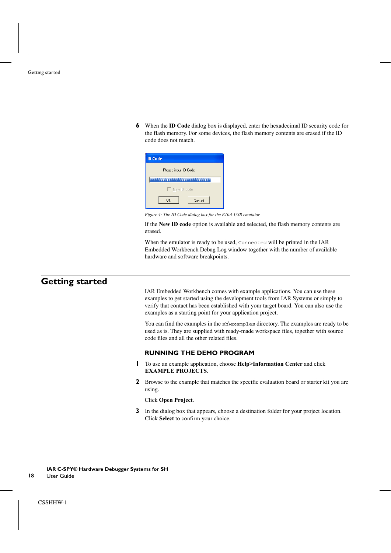**6** When the **ID Code** dialog box is displayed, enter the hexadecimal ID security code for the flash memory. For some devices, the flash memory contents are erased if the ID code does not match.

| <b>ID Code</b>                   |  |  |
|----------------------------------|--|--|
| Please input ID Code             |  |  |
| FFFFFFFFFFFFFFFFFFFFFFFFFFFFFFFF |  |  |
| New ID code                      |  |  |
| <b>DK</b><br>Cancel              |  |  |

<span id="page-17-2"></span>*Figure 4: The ID Code dialog box for the E10A-USB emulator*

If the **New ID code** option is available and selected, the flash memory contents are erased.

When the emulator is ready to be used, Connected will be printed in the IAR Embedded Workbench Debug Log window together with the number of available hardware and software breakpoints.

## <span id="page-17-0"></span>**Getting started**

IAR Embedded Workbench comes with example applications. You can use these examples to get started using the development tools from IAR Systems or simply to verify that contact has been established with your target board. You can also use the examples as a starting point for your application project.

You can find the examples in the shlexamples directory. The examples are ready to be used as is. They are supplied with ready-made workspace files, together with source code files and all the other related files.

#### <span id="page-17-1"></span>**RUNNING THE DEMO PROGRAM**

- **1** To use an example application, choose **Help>Information Center** and click **EXAMPLE PROJECTS**.
- **2** Browse to the example that matches the specific evaluation board or starter kit you are using.

#### Click **Open Project**.

**3** In the dialog box that appears, choose a destination folder for your project location. Click **Select** to confirm your choice.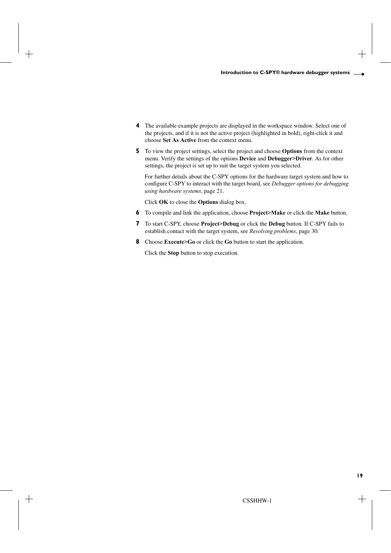- **4** The available example projects are displayed in the workspace window. Select one of the projects, and if it is not the active project (highlighted in bold), right-click it and choose **Set As Active** from the context menu.
- **5** To view the project settings, select the project and choose **Options** from the context menu. Verify the settings of the options **Device** and **Debugger>Driver**. As for other settings, the project is set up to suit the target system you selected.

For further details about the C-SPY options for the hardware target system and how to configure C-SPY to interact with the target board, see *[Debugger options for debugging](#page-20-3)  [using hardware systems](#page-20-3)*, page 21.

Click **OK** to close the **Options** dialog box.

- **6** To compile and link the application, choose **Project>Make** or click the **Make** button.
- **7** To start C-SPY, choose **Project>Debug** or click the **Debug** button. If C-SPY fails to establish contact with the target system, see *[Resolving problems](#page-29-3)*, page 30.
- **8** Choose **Execute>Go** or click the **Go** button to start the application.

Click the **Stop** button to stop execution.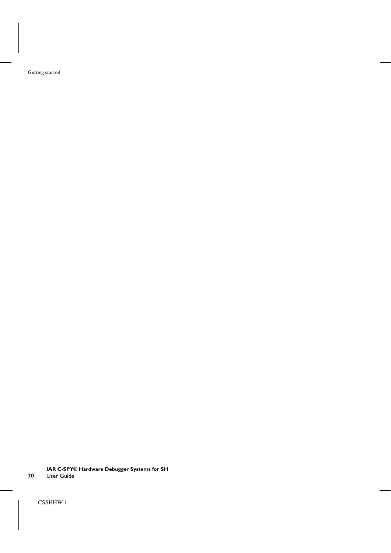Getting started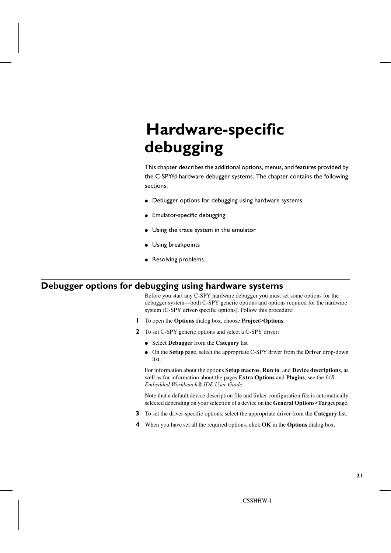# <span id="page-20-2"></span><span id="page-20-0"></span>**Hardware-specific debugging**

This chapter describes the additional options, menus, and features provided by the C-SPY® hardware debugger systems. The chapter contains the following sections:

- [Debugger options for debugging using hardware systems](#page-20-1)
- [Emulator-specific debugging](#page-22-0)
- [Using the trace system in the emulator](#page-22-2)
- [Using breakpoints](#page-27-0)
- [Resolving problems.](#page-29-0)

# <span id="page-20-3"></span><span id="page-20-1"></span>**Debugger options for debugging using hardware systems**

Before you start any C-SPY hardware debugger you must set some options for the debugger system—both C-SPY generic options and options required for the hardware system (C-SPY driver-specific options). Follow this procedure:

- **1** To open the **Options** dialog box, choose **Project>Options**.
- **2** To set C-SPY generic options and select a C-SPY driver:
	- Select **Debugger** from the **Category** list
	- On the **Setup** page, select the appropriate C-SPY driver from the **Driver** drop-down list.

For information about the options **Setup macros**, **Run to**, and **Device descriptions**, as well as for information about the pages **Extra Options** and **Plugins**, see the *IAR Embedded Workbench® IDE User Guide*.

Note that a default device description file and linker configuration file is automatically selected depending on your selection of a device on the **General Options>Target** page.

- **3** To set the driver-specific options, select the appropriate driver from the **Category** list.
- **4** When you have set all the required options, click **OK** in the **Options** dialog box.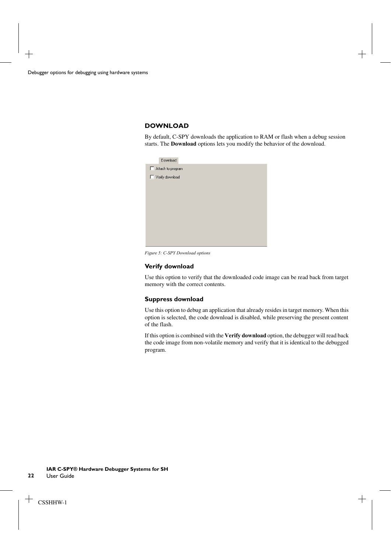## <span id="page-21-0"></span>**DOWNLOAD**

By default, C-SPY downloads the application to RAM or flash when a debug session starts. The **Download** options lets you modify the behavior of the download.

| Download          |  |
|-------------------|--|
| Attach to program |  |
| Verify download   |  |
|                   |  |
|                   |  |
|                   |  |
|                   |  |
|                   |  |
|                   |  |
|                   |  |
|                   |  |

<span id="page-21-1"></span>*Figure 5: C-SPY Download options*

#### **Verify download**

Use this option to verify that the downloaded code image can be read back from target memory with the correct contents.

#### **Suppress download**

Use this option to debug an application that already resides in target memory. When this option is selected, the code download is disabled, while preserving the present content of the flash.

If this option is combined with the **Verify download** option, the debugger will read back the code image from non-volatile memory and verify that it is identical to the debugged program.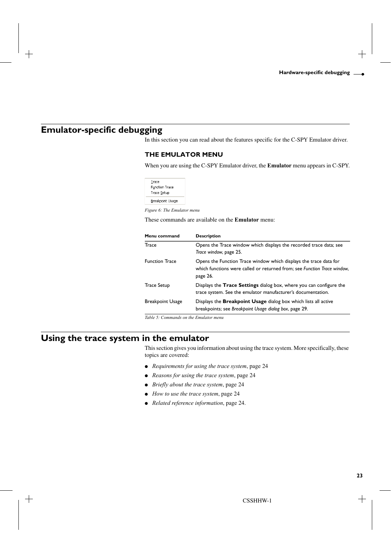## <span id="page-22-0"></span>**Emulator-specific debugging**

In this section you can read about the features specific for the C-SPY Emulator driver.

## <span id="page-22-1"></span>**THE EMULATOR MENU**

When you are using the C-SPY Emulator driver, the **Emulator** menu appears in C-SPY.

| Trace                 |  |
|-----------------------|--|
| <b>Function Trace</b> |  |
| Trace Setup           |  |
|                       |  |
| Breakpoint Usage      |  |
|                       |  |

<span id="page-22-4"></span>*Figure 6: The Emulator menu*

These commands are available on the **Emulator** menu:

| Menu command            | <b>Description</b>                                                                                                                                        |
|-------------------------|-----------------------------------------------------------------------------------------------------------------------------------------------------------|
| Trace                   | Opens the Trace window which displays the recorded trace data; see<br>Trace window, page 25.                                                              |
| <b>Function Trace</b>   | Opens the Function Trace window which displays the trace data for<br>which functions were called or returned from; see Function Trace window,<br>page 26. |
| <b>Trace Setup</b>      | Displays the <b>Trace Settings</b> dialog box, where you can configure the<br>trace system. See the emulator manufacturer's documentation.                |
| <b>Breakpoint Usage</b> | Displays the <b>Breakpoint Usage</b> dialog box which lists all active<br>breakpoints; see Breakpoint Usage dialog box, page 29.                          |

<span id="page-22-3"></span>*Table 5: Commands on the Emulator menu* 

## <span id="page-22-2"></span>**Using the trace system in the emulator**

This section gives you information about using the trace system. More specifically, these topics are covered:

- *[Requirements for using the trace system](#page-23-0)*, page 24
- *[Reasons for using the trace system](#page-23-1)*, page 24
- *[Briefly about the trace system](#page-23-2)*, page 24
- *[How to use the trace system](#page-23-3)*, page 24
- *[Related reference information](#page-23-4)*, page 24.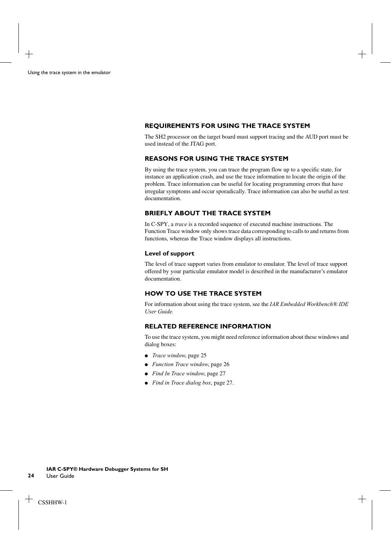### <span id="page-23-0"></span>**REQUIREMENTS FOR USING THE TRACE SYSTEM**

The SH2 processor on the target board must support tracing and the AUD port must be used instead of the JTAG port.

## <span id="page-23-1"></span>**REASONS FOR USING THE TRACE SYSTEM**

By using the trace system, you can trace the program flow up to a specific state, for instance an application crash, and use the trace information to locate the origin of the problem. Trace information can be useful for locating programming errors that have irregular symptoms and occur sporadically. Trace information can also be useful as test documentation.

## <span id="page-23-2"></span>**BRIEFLY ABOUT THE TRACE SYSTEM**

In C-SPY, a *trace* is a recorded sequence of executed machine instructions. The Function Trace window only shows trace data corresponding to calls to and returns from functions, whereas the Trace window displays all instructions.

#### **Level of support**

The level of trace support varies from emulator to emulator. The level of trace support offered by your particular emulator model is described in the manufacturer's emulator documentation.

### <span id="page-23-3"></span>**HOW TO USE THE TRACE SYSTEM**

For information about using the trace system, see the *IAR Embedded Workbench® IDE User Guide.*

### <span id="page-23-4"></span>**RELATED REFERENCE INFORMATION**

To use the trace system, you might need reference information about these windows and dialog boxes:

- *[Trace window](#page-24-0)*, page 25
- *[Function Trace window](#page-25-0)*, page 26
- *[Find In Trace window](#page-26-0)*, page 27
- *[Find in Trace dialog box](#page-26-1)*, page 27.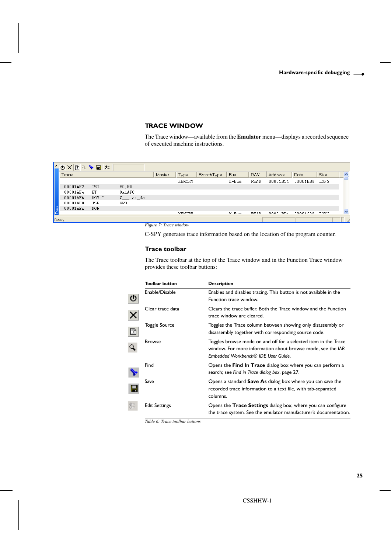## <span id="page-24-0"></span>**TRACE WINDOW**

The Trace window—available from the **Emulator** menu—displays a recorded sequence of executed machine instructions.

| $\vert x \vert$ | OXB O DE |            |                             |        |               |            |                                          |             |          |          |             |              |
|-----------------|----------|------------|-----------------------------|--------|---------------|------------|------------------------------------------|-------------|----------|----------|-------------|--------------|
|                 | Trace    |            |                             | Master | Type          | BranchType | <b>Bus</b>                               | <b>RW</b>   | Address  | Data     | Size        | $\sim$       |
|                 |          |            |                             |        | MEMORY        |            | M-Bus                                    | READ        | 00001B14 | 00001BB8 | <b>LONG</b> |              |
|                 | 00001AF2 | <b>TST</b> | R0, R0                      |        |               |            |                                          |             |          |          |             |              |
|                 | 00001AF4 | <b>BT</b>  | 0x1AFC                      |        |               |            |                                          |             |          |          |             |              |
|                 | 00001AF6 | MOV.L      | $#$ iarda                   |        |               |            |                                          |             |          |          |             |              |
|                 | 00001AF8 | <b>JSR</b> | @R0<br>$\sim$ $\sim$ $\sim$ |        |               |            |                                          |             |          |          |             |              |
| $\frac{1}{2}$   | 00001AFA | <b>NOP</b> |                             |        |               |            |                                          |             |          |          |             |              |
|                 |          |            |                             |        | <b>MEMORY</b> |            | $M$ <sub>-</sub> $P$ <sub>11</sub> $\in$ | <b>PEAD</b> | 00001BD4 | 00001000 | TONG.       | $\checkmark$ |
| Ready           |          |            |                             |        |               |            |                                          |             |          |          |             |              |

<span id="page-24-2"></span>*Figure 7: Trace window* 

C-SPY generates trace information based on the location of the program counter.

### <span id="page-24-3"></span>**Trace toolbar**

The Trace toolbar at the top of the Trace window and in the Function Trace window provides these toolbar buttons:

|     | <b>Toolbar button</b> | <b>Description</b>                                                                                                                                                    |
|-----|-----------------------|-----------------------------------------------------------------------------------------------------------------------------------------------------------------------|
| ഄ   | Enable/Disable        | Enables and disables tracing. This button is not available in the<br>Function trace window.                                                                           |
|     | Clear trace data      | Clears the trace buffer. Both the Trace window and the Function<br>trace window are cleared.                                                                          |
| ð   | <b>Toggle Source</b>  | Toggles the Trace column between showing only disassembly or<br>disassembly together with corresponding source code.                                                  |
|     | <b>Browse</b>         | Toggles browse mode on and off for a selected item in the Trace<br>window. For more information about browse mode, see the IAR<br>Embedded Workbench® IDE User Guide. |
|     | Find                  | Opens the <b>Find In Trace</b> dialog box where you can perform a<br>search; see Find in Trace dialog box, page 27.                                                   |
|     | Save                  | Opens a standard <b>Save As</b> dialog box where you can save the<br>recorded trace information to a text file, with tab-separated<br>columns.                        |
| 811 | <b>Edit Settings</b>  | Opens the Trace Settings dialog box, where you can configure<br>the trace system. See the emulator manufacturer's documentation.                                      |
|     |                       |                                                                                                                                                                       |

<span id="page-24-1"></span>*Table 6: Trace toolbar buttons*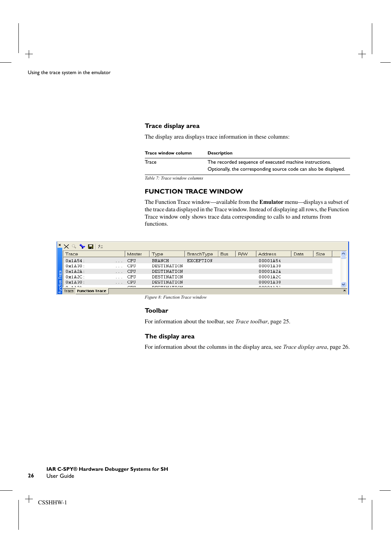#### <span id="page-25-3"></span>**Trace display area**

The display area displays trace information in these columns:

| Trace window column | <b>Description</b>                                               |  |  |  |
|---------------------|------------------------------------------------------------------|--|--|--|
| Trace               | The recorded sequence of executed machine instructions.          |  |  |  |
|                     | Optionally, the corresponding source code can also be displayed. |  |  |  |

<span id="page-25-1"></span>*Table 7: Trace window columns* 

## <span id="page-25-0"></span>**FUNCTION TRACE WINDOW**

The Function Trace window—available from the **Emulator** menu—displays a subset of the trace data displayed in the Trace window. Instead of displaying all rows, the Function Trace window only shows trace data corresponding to calls to and returns from functions.

| !×∣           | $X \subseteq \bullet$<br>$2^{\circ}$<br>Ч |                      |        |                    |                  |            |           |          |      |      |              |
|---------------|-------------------------------------------|----------------------|--------|--------------------|------------------|------------|-----------|----------|------|------|--------------|
|               | Frace                                     |                      | Master | Type               | BranchType       | <b>Bus</b> | <b>RW</b> | Address  | Data | Size |              |
|               | $0x1A54$ :                                | $\cdots$             | CPU    | <b>BRANCH</b>      | <b>EXCEPTION</b> |            |           | 00001A54 |      |      |              |
|               | $0x1A30$ :                                |                      | CPU    | DESTINATION        |                  |            |           | 00001A30 |      |      |              |
|               | $0x1A2A$ :                                | $\sim$ $\sim$ $\sim$ | CPU    | DESTINATION        |                  |            |           | 00001A2A |      |      |              |
| $\frac{1}{2}$ | $0x1A2C$ :                                | $\cdots$             | CPU    | DESTINATION        |                  |            |           | 00001A2C |      |      |              |
|               | $0x1A30$ :                                | $\sim$ $\sim$        | CPU    | DESTINATION        |                  |            |           | 00001A30 |      |      |              |
|               | $-1121$                                   |                      | T      | <b>DECETUITTAU</b> |                  |            |           | 00001101 |      |      |              |
| Function      | <b>Function Trace</b><br>race             |                      |        |                    |                  |            |           |          |      |      | $\mathbf{x}$ |

<span id="page-25-2"></span>*Figure 8: Function Trace window* 

#### **Toolbar**

For information about the toolbar, see *[Trace toolbar](#page-24-3)*, page 25.

### **The display area**

For information about the columns in the display area, see *[Trace display area](#page-25-3)*, page 26.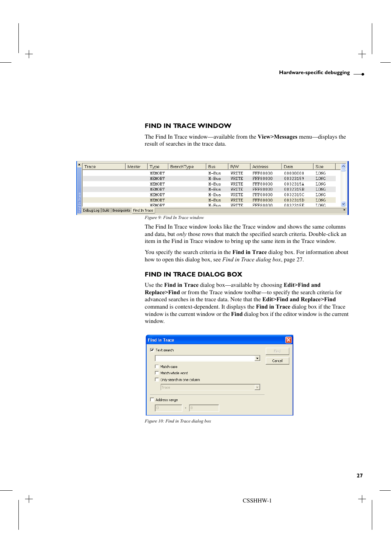## <span id="page-26-0"></span>**FIND IN TRACE WINDOW**

The Find In Trace window—available from the **View>Messages** menu—displays the result of searches in the trace data.

| l×. | Trace                                           | Master | T <sub>V</sub> pe | BranchType | <b>Bus</b>        | <b>RW</b>    | <b>Address</b> | Data     | Size         |              |
|-----|-------------------------------------------------|--------|-------------------|------------|-------------------|--------------|----------------|----------|--------------|--------------|
|     |                                                 |        | MEMORY            |            | M-Bus             | WRITE        | FFF80000       | 00000000 | LONG         |              |
|     |                                                 |        | MEMORY            |            | M-Bus             | <b>WRITE</b> | FFF80000       | 00323159 | <b>LONG</b>  |              |
|     |                                                 |        | MEMORY            |            | M-Bus             | <b>WRITE</b> | FFF80000       | 0032315A | LONG         |              |
|     |                                                 |        | MEMORY            |            | M-Bus             | <b>WRITE</b> | FFF80000       | 0032315B | <b>LONG</b>  |              |
|     |                                                 |        | MEMORY            |            | M-Bus             | WRITE        | FFF80000       | 0032315C | LONG         |              |
|     |                                                 |        | MEMORY            |            | M-Bus             | <b>WRITE</b> | FFF80000       | 0032315D | <b>LONG</b>  |              |
|     |                                                 |        | MEMORY            |            | $M - B u \approx$ | <b>WRTTE</b> | FFF80000       | 0032315E | <b>T.ONG</b> |              |
|     | Debug Log   Build   Breakpoints   Find In Trace |        |                   |            |                   |              |                |          |              | $\mathbf{x}$ |

<span id="page-26-2"></span>*Figure 9: Find In Trace window*

The Find In Trace window looks like the Trace window and shows the same columns and data, but *only* those rows that match the specified search criteria. Double-click an item in the Find in Trace window to bring up the same item in the Trace window.

You specify the search criteria in the **Find in Trace** dialog box. For information about how to open this dialog box, see *[Find in Trace dialog box](#page-26-1)*, page 27.

## <span id="page-26-1"></span>**FIND IN TRACE DIALOG BOX**

Use the **Find in Trace** dialog box—available by choosing **Edit>Find and Replace>Find** or from the Trace window toolbar—to specify the search criteria for advanced searches in the trace data. Note that the **Edit>Find and Replace>Find** command is context-dependent. It displays the **Find in Trace** dialog box if the Trace window is the current window or the **Find** dialog box if the editor window is the current window.

| <b>Find in Trace</b>                         |        |
|----------------------------------------------|--------|
| $\overline{\mathbf{v}}$ Text search          | Find   |
| $\overline{\phantom{a}}$                     | Cancel |
| Match case                                   |        |
| Match whole word                             |        |
| Only search in one column                    |        |
| Trace<br>$\overline{\mathcal{A}}$            |        |
| Address range<br>l o<br>Ιo<br>$\overline{a}$ |        |
|                                              |        |

<span id="page-26-3"></span>*Figure 10: Find in Trace dialog box*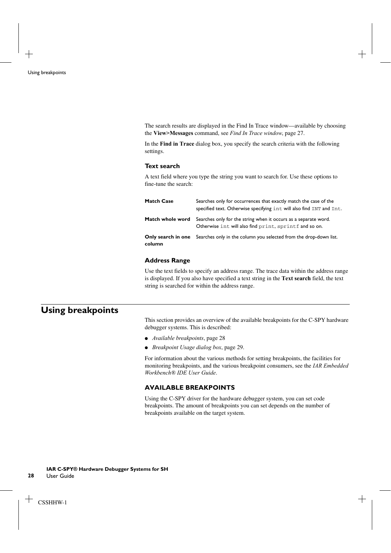The search results are displayed in the Find In Trace window—available by choosing the **View>Messages** command, see *[Find In Trace window](#page-26-0)*, page 27.

In the **Find in Trace** dialog box, you specify the search criteria with the following settings.

#### **Text search**

A text field where you type the string you want to search for. Use these options to fine-tune the search:

| <b>Match Case</b> | Searches only for occurrences that exactly match the case of the<br>specified text. Otherwise specifying int will also find INT and Int. |
|-------------------|------------------------------------------------------------------------------------------------------------------------------------------|
| Match whole word  | Searches only for the string when it occurs as a separate word.<br>Otherwise int will also find print, sprintf and so on.                |
| column            | <b>Only search in one</b> Searches only in the column you selected from the drop-down list.                                              |

#### **Address Range**

Use the text fields to specify an address range. The trace data within the address range is displayed. If you also have specified a text string in the **Text search** field, the text string is searched for within the address range.

## <span id="page-27-0"></span>**Using breakpoints**

This section provides an overview of the available breakpoints for the C-SPY hardware debugger systems. This is described:

- *[Available breakpoints](#page-27-1)*, page 28
- *[Breakpoint Usage dialog box](#page-28-0)*, page 29.

For information about the various methods for setting breakpoints, the facilities for monitoring breakpoints, and the various breakpoint consumers, see the *IAR Embedded Workbench® IDE User Guide*.

#### <span id="page-27-1"></span>**AVAILABLE BREAKPOINTS**

Using the C-SPY driver for the hardware debugger system, you can set code breakpoints. The amount of breakpoints you can set depends on the number of breakpoints available on the target system.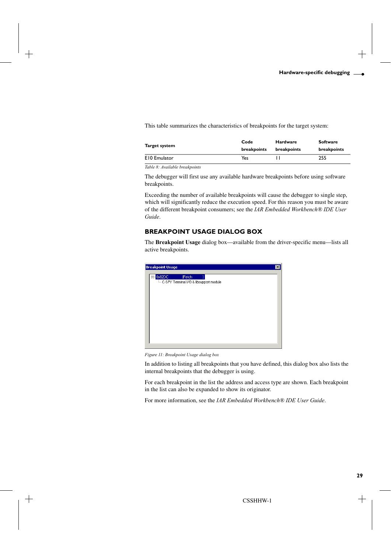This table summarizes the characteristics of breakpoints for the target system:

| Target system       | Code        | <b>Hardware</b> | Software    |  |
|---------------------|-------------|-----------------|-------------|--|
|                     | breakpoints | breakpoints     | breakpoints |  |
| <b>E10 Emulator</b> | Yes         |                 | 255         |  |

<span id="page-28-3"></span><span id="page-28-1"></span>*Table 8: Available breakpoints* 

The debugger will first use any available hardware breakpoints before using software breakpoints.

Exceeding the number of available breakpoints will cause the debugger to single step, which will significantly reduce the execution speed. For this reason you must be aware of the different breakpoint consumers; see the *IAR Embedded Workbench® IDE User Guide*.

## <span id="page-28-0"></span>**BREAKPOINT USAGE DIALOG BOX**

The **Breakpoint Usage** dialog box—available from the driver-specific menu—lists all active breakpoints.



*Figure 11: Breakpoint Usage dialog box*

<span id="page-28-2"></span>In addition to listing all breakpoints that you have defined, this dialog box also lists the internal breakpoints that the debugger is using.

For each breakpoint in the list the address and access type are shown. Each breakpoint in the list can also be expanded to show its originator.

For more information, see the *IAR Embedded Workbench® IDE User Guide*.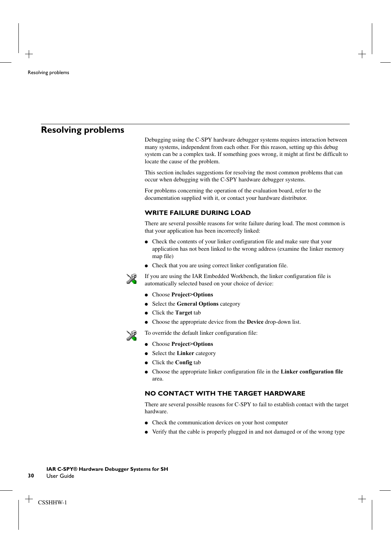## <span id="page-29-3"></span><span id="page-29-0"></span>**Resolving problems**

Debugging using the C-SPY hardware debugger systems requires interaction between many systems, independent from each other. For this reason, setting up this debug system can be a complex task. If something goes wrong, it might at first be difficult to locate the cause of the problem.

This section includes suggestions for resolving the most common problems that can occur when debugging with the C-SPY hardware debugger systems.

For problems concerning the operation of the evaluation board, refer to the documentation supplied with it, or contact your hardware distributor.

## <span id="page-29-1"></span>**WRITE FAILURE DURING LOAD**

There are several possible reasons for write failure during load. The most common is that your application has been incorrectly linked:

- Check the contents of your linker configuration file and make sure that your application has not been linked to the wrong address (examine the linker memory map file)
- Check that you are using correct linker configuration file.



If you are using the IAR Embedded Workbench, the linker configuration file is automatically selected based on your choice of device:

- Choose **Project>Options**
- Select the **General Options** category
- Click the **Target** tab
- Choose the appropriate device from the **Device** drop-down list.



To override the default linker configuration file:

- Choose **Project>Options**
- Select the **Linker** category
- Click the **Config** tab
- Choose the appropriate linker configuration file in the **Linker configuration file** area.

## <span id="page-29-2"></span>**NO CONTACT WITH THE TARGET HARDWARE**

There are several possible reasons for C-SPY to fail to establish contact with the target hardware.

- Check the communication devices on your host computer
- Verify that the cable is properly plugged in and not damaged or of the wrong type